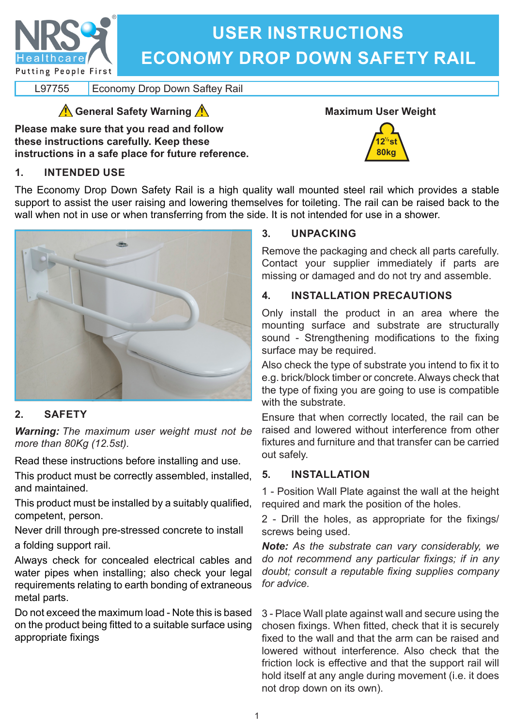

# **USER INSTRUCTIONS ECONOMY DROP DOWN SAFETY RAIL**

L97755 | Economy Drop Down Saftey Rail

**General Safety Warning** 

**Please make sure that you read and follow these instructions carefully. Keep these instructions in a safe place for future reference.**



**12 st 80kg ½**

## **1. INTENDED USE**

The Economy Drop Down Safety Rail is a high quality wall mounted steel rail which provides a stable support to assist the user raising and lowering themselves for toileting. The rail can be raised back to the wall when not in use or when transferring from the side. It is not intended for use in a shower.



# **2. SAFETY**

*Warning: The maximum user weight must not be more than 80Kg (12.5st).*

Read these instructions before installing and use.

This product must be correctly assembled, installed, and maintained.

This product must be installed by a suitably qualified, competent, person.

Never drill through pre-stressed concrete to install a folding support rail.

Always check for concealed electrical cables and water pipes when installing; also check your legal requirements relating to earth bonding of extraneous metal parts.

Do not exceed the maximum load - Note this is based on the product being fitted to a suitable surface using appropriate fixings

#### **3. UNPACKING**

Remove the packaging and check all parts carefully. Contact your supplier immediately if parts are missing or damaged and do not try and assemble.

#### **4. INSTALLATION PRECAUTIONS**

Only install the product in an area where the mounting surface and substrate are structurally sound - Strengthening modifications to the fixing surface may be required.

Also check the type of substrate you intend to fix it to e.g. brick/block timber or concrete. Always check that the type of fixing you are going to use is compatible with the substrate.

Ensure that when correctly located, the rail can be raised and lowered without interference from other fixtures and furniture and that transfer can be carried out safely.

#### **5. INSTALLATION**

1 - Position Wall Plate against the wall at the height required and mark the position of the holes.

2 - Drill the holes, as appropriate for the fixings/ screws being used.

*Note: As the substrate can vary considerably, we do not recommend any particular fixings; if in any doubt; consult a reputable fixing supplies company for advice.*

3 - Place Wall plate against wall and secure using the chosen fixings. When fitted, check that it is securely fixed to the wall and that the arm can be raised and lowered without interference. Also check that the friction lock is effective and that the support rail will hold itself at any angle during movement (i.e. it does not drop down on its own).